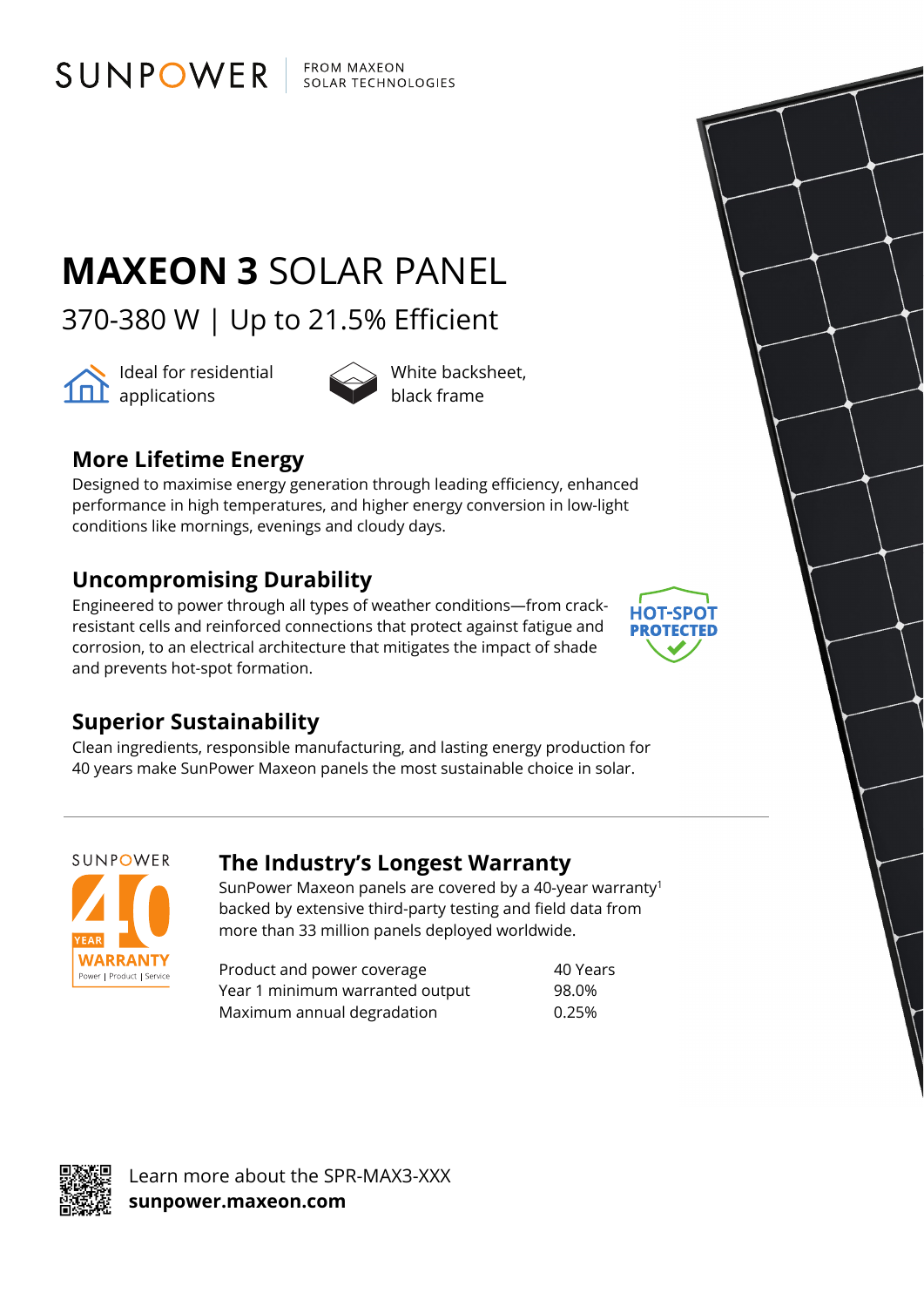FROM MAXEON SOLAR TECHNOLOGIES

# **MAXEON 3** SOLAR PANEL

370-380 W | Up to 21.5% Efficient



ldeal for residential **101** applications



### **More Lifetime Energy**

SUNPOWER

Designed to maximise energy generation through leading efficiency, enhanced performance in high temperatures, and higher energy conversion in low-light conditions like mornings, evenings and cloudy days.

#### **Uncompromising Durability**

Engineered to power through all types of weather conditions—from crackresistant cells and reinforced connections that protect against fatigue and corrosion, to an electrical architecture that mitigates the impact of shade and prevents hot-spot formation.



#### **Superior Sustainability**

Clean ingredients, responsible manufacturing, and lasting energy production for 40 years make SunPower Maxeon panels the most sustainable choice in solar.

SUNPOWER **WARRANTY** Power | Product | Service

#### **The Industry's Longest Warranty**

SunPower Maxeon panels are covered by a 40-year warranty1 backed by extensive third-party testing and field data from more than 33 million panels deployed worldwide.

Product and power coverage and the 40 Years Year 1 minimum warranted output 98.0% Maximum annual degradation 6.25%



Learn more about the SPR-MAX3-XXX **sunpower.maxeon.com**